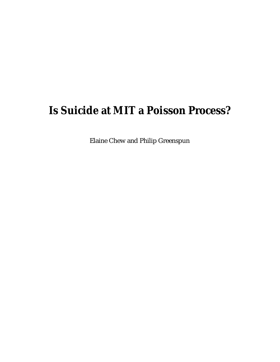# **Is Suicide at MIT a Poisson Process?**

Elaine Chew and Philip Greenspun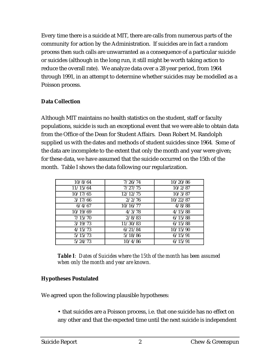Every time there is a suicide at MIT, there are calls from numerous parts of the community for action by the Administration. If suicides are in fact a random process then such calls are unwarranted as a consequence of a particular suicide or suicides (although in the long run, it still might be worth taking action to reduce the overall rate). We analyze data over a 28 year period, from 1964 through 1991, in an attempt to determine whether suicides may be modelled as a Poisson process.

### **Data Collection**

Although MIT maintains no health statistics on the student, staff or faculty populations, suicide is such an exceptional event that we were able to obtain data from the Office of the Dean for Student Affairs. Dean Robert M. Randolph supplied us with the dates and methods of student suicides since 1964. Some of the data are incomplete to the extent that only the month and year were given; for these data, we have assumed that the suicide occurred on the 15th of the month. Table I shows the data following our regularization.

| 10/8/64  | 7/26/74  | 10/20/86 |
|----------|----------|----------|
| 11/15/64 | 7/27/75  | 10/2/87  |
| 10/17/65 | 12/12/75 | 10/3/87  |
| 3/17/66  | 2/2/76   | 10/22/87 |
| 6/4/67   | 10/16/77 | 4/8/88   |
| 10/19/69 | 4/3/78   | 4/15/88  |
| 7/15/70  | 2/8/83   | 6/15/88  |
| 3/19/73  | 11/30/83 | 6/15/88  |
| 4/15/73  | 6/21/84  | 10/15/90 |
| 5/15/73  | 5/18/86  | 6/15/91  |
| 5/24/73  | 10/4/86  | 6/15/91  |

*Table I: Dates of Suicides where the 15th of the month has been assumed when only the month and year are known.*

### **Hypotheses Postulated**

We agreed upon the following plausible hypotheses:

• that suicides are a Poisson process, i.e. that one suicide has no effect on any other and that the expected time until the next suicide is independent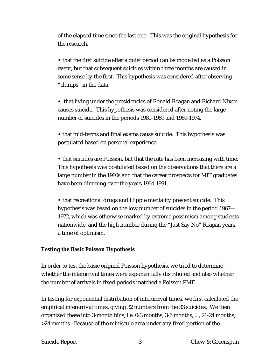of the elapsed time since the last one. This was the original hypothesis for the research.

• that the first suicide after a quiet period can be modelled as a Poisson event, but that subsequent suicides within three months are caused in some sense by the first. This hypothesis was considered after observing "clumps" in the data.

• that living under the presidencies of Ronald Reagan and Richard Nixon causes suicide. This hypothesis was considered after noting the large number of suicides in the periods 1981-1989 and 1969-1974.

• that mid-terms and final exams cause suicide. This hypothesis was postulated based on personal experience.

• that suicides are Poisson, but that the rate has been increasing with time. This hypothesis was postulated based on the observations that there are a large number in the 1980s and that the career prospects for MIT graduates have been dimming over the years 1964-1991.

• that recreational drugs and Hippie mentality prevent suicide. This hypothesis was based on the low number of suicides in the period 1967— 1972, which was otherwise marked by extreme pessimism among students nationwide, and the high number during the "Just Say No" Reagan years, a time of optimism.

### **Testing the Basic Poisson Hypothesis**

In order to test the basic original Poisson hypothesis, we tried to determine whether the interarrival times were exponentially distributed and also whether the number of arrivals in fixed periods matched a Poisson PMF.

In testing for exponential distribution of interarrival times, we first calculated the empirical interarrival times, giving 32 numbers from the 33 suicides. We then organized these into 3-month bins, i.e. 0-3 months, 3-6 months, ..., 21-24 months, >24 months. Because of the miniscule area under any fixed portion of the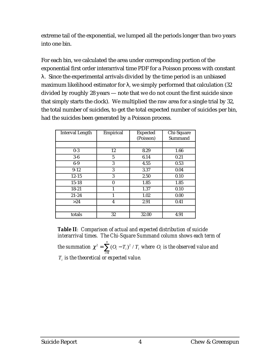extreme tail of the exponential, we lumped all the periods longer than two years into one bin.

For each bin, we calculated the area under corresponding portion of the exponential first order interarrival time PDF for a Poisson process with constant λ. Since the experimental arrivals divided by the time period is an unbiased maximum likelihood estimator for  $\lambda$ , we simply performed that calculation (32 divided by roughly 28 years — note that we do not count the first suicide since that simply starts the clock). We multiplied the raw area for a single trial by 32, the total number of suicides, to get the total expected number of suicides per bin, had the suicides been generated by a Poisson process.

| <b>Interval Length</b> | Empirical | <b>Expected</b> | Chi-Square |
|------------------------|-----------|-----------------|------------|
|                        |           | (Poisson)       | Summand    |
|                        |           |                 |            |
|                        |           |                 |            |
| $0-3$                  | 12        | 8.29            | 1.66       |
| $3-6$                  | 5         | 6.14            | 0.21       |
| $6-9$                  | 3         | 4.55            | 0.53       |
| $9 - 12$               | 3         | 3.37            | 0.04       |
| $12 - 15$              | 3         | 2.50            | 0.10       |
| $15 - 18$              | 0         | 1.85            | 1.85       |
| $18 - 21$              | 1         | 1.37            | 0.10       |
| $21 - 24$              |           | 1.02            | 0.00       |
| >24                    | 4         | 2.91            | 0.41       |
|                        |           |                 |            |
| totals                 | 32        | 32.00           | 4.91       |

*Table II: Comparison of actual and expected distribution of suicide interarrival times. The Chi-Square Summand column shows each term of the summation*  $\chi^2 = \sum (O_i)$ *i*=1  $\sum^n_{i=1} (O_i - T_i)^2$  /  $T_i$  where  $O_i$  is the observed value and

*Ti is the theoretical or expected value.*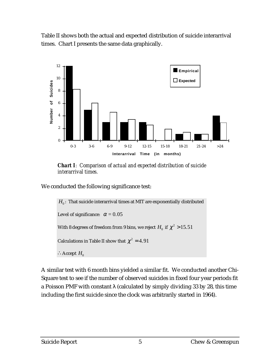Table II shows both the actual and expected distribution of suicide interarrival times. Chart I presents the same data graphically.



*Chart I: Comparison of actual and expected distribution of suicide interarrival times.*

We conducted the following significance test:

 $H_0$ : That suicide interarrival times at MIT are exponentially distributed Level of significance:  $\alpha = 0.05$ With 8 degrees of freedom from 9 bins, we reject  $H_0$  if  $\chi^2 > 15.51$ Calculations in Table II show that  $\chi^2 = 4.91$ ∴Accept  $H_0$ 

A similar test with 6 month bins yielded a similar fit. We conducted another Chi-Square test to see if the number of observed suicides in fixed four year periods fit a Poisson PMF with constant  $\lambda$  (calculated by simply dividing 33 by 28, this time including the first suicide since the clock was arbitrarily started in 1964).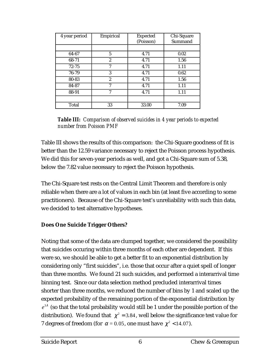| 4 year period | Empirical        | <b>Expected</b><br>(Poisson) | Chi-Square<br>Summand |
|---------------|------------------|------------------------------|-----------------------|
|               |                  |                              |                       |
| 64-67         | 5                | 4.71                         | 0.02                  |
| 68-71         | $\boldsymbol{2}$ | 4.71                         | 1.56                  |
| $72 - 75$     | 7                | 4.71                         | 1.11                  |
| 76-79         | 3                | 4.71                         | 0.62                  |
| 80-83         | 2                | 4.71                         | 1.56                  |
| 84-87         | 7                | 4.71                         | 1.11                  |
| 88-91         | 7                | 4.71                         | 1.11                  |
|               |                  |                              |                       |
| Total         | 33               | 33.00                        | 7.09                  |

*Table III: Comparison of observed suicides in 4 year periods to expected number from Poisson PMF*

Table III shows the results of this comparison: the Chi-Square goodness of fit is better than the 12.59 variance necessary to reject the Poisson process hypothesis. We did this for seven-year periods as well, and got a Chi-Square sum of 5.38, below the 7.82 value necessary to reject the Poisson hypothesis.

The Chi-Square test rests on the Central Limit Theorem and therefore is only reliable when there are a lot of values in each bin (at least five according to some practitioners). Because of the Chi-Square test's unreliability with such thin data, we decided to test alternative hypotheses.

### **Does One Suicide Trigger Others?**

Noting that some of the data are clumped together, we considered the possibility that suicides occuring within three months of each other are dependent. If this were so, we should be able to get a better fit to an exponential distribution by considering only "first suicides", i.e. those that occur after a quiet spell of longer than three months. We found 21 such suicides, and performed a interarrival time binning test. Since our data selection method precluded interarrival times shorter than three months, we reduced the number of bins by 1 and scaled up the expected probability of the remaining portion of the exponential distribution by *e*<sup>3</sup><sup>λ</sup> (so that the total probability would still be 1 under the possible portion of the distribution). We found that  $\chi^2 = 3.84$ , well below the significance test value for 7 degrees of freedom (for  $\alpha$  = 0.05, one must have  $\chi^2$  < 14.07).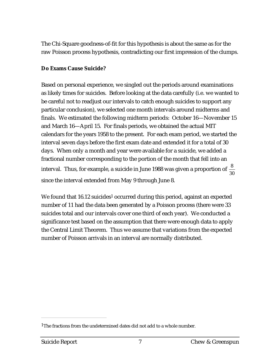The Chi-Square goodness-of-fit for this hypothesis is about the same as for the raw Poisson process hypothesis, contradicting our first impression of the clumps.

#### **Do Exams Cause Suicide?**

Based on personal experience, we singled out the periods around examinations as likely times for suicides. Before looking at the data carefully (i.e. we wanted to be careful not to readjust our intervals to catch enough suicides to support any particular conclusion), we selected one month intervals around midterms and finals. We estimated the following midterm periods: October 16—November 15 and March 16—April 15. For finals periods, we obtained the actual MIT calendars for the years 1958 to the present. For each exam period, we started the interval seven days before the first exam date and extended it for a total of 30 days. When only a month and year were available for a suicide, we added a fractional number corresponding to the portion of the month that fell into an interval. Thus, for example, a suicide in June 1988 was given a proportion of  $\frac{8}{\gamma}$ 30 since the interval extended from May 9 through June 8.

We found that  $16.12$  suicides<sup>1</sup> occurred during this period, against an expected number of 11 had the data been generated by a Poisson process (there were 33 suicides total and our intervals cover one third of each year). We conducted a significance test based on the assumption that there were enough data to apply the Central Limit Theorem. Thus we assume that variations from the expected number of Poisson arrivals in an interval are normally distributed.

<sup>1</sup>The fractions from the undetermined dates did not add to a whole number.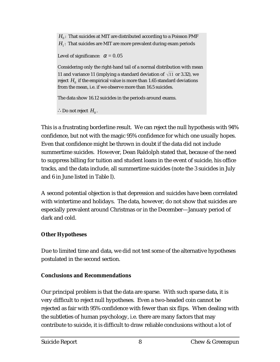$H_0$ : That suicides at MIT are distributed according to a Poisson PMF  $H<sub>1</sub>$ : That suicides are MIT are more prevalent during exam periods

Level of significance:  $\alpha = 0.05$ 

Considering only the right-hand tail of a normal distribution with mean 11 and variance 11 (implying a standard deviation of  $\sqrt{11}$  or 3.32), we reject  $H_0$  if the empirical value is more than 1.65 standard deviations from the mean, i.e. if we observe more than 16.5 suicides.

The data show 16.12 suicides in the periods around exams.

∴Do not reject  $H_0$ .

This is a frustrating borderline result. We can reject the null hypothesis with 94% confidence, but not with the magic 95% confidence for which one usually hopes. Even that confidence might be thrown in doubt if the data did not include summertime suicides. However, Dean Raldolph stated that, because of the need to suppress billing for tuition and student loans in the event of suicide, his office tracks, and the data include, all summertime suicides (note the 3 suicides in July and 6 in June listed in Table I).

A second potential objection is that depression and suicides have been correlated with wintertime and holidays. The data, however, do not show that suicides are especially prevalent around Christmas or in the December—January period of dark and cold.

## **Other Hypotheses**

Due to limited time and data, we did not test some of the alternative hypotheses postulated in the second section.

## **Conclusions and Recommendations**

Our principal problem is that the data are sparse. With such sparse data, it is very difficult to reject null hypotheses. Even a two-headed coin cannot be rejected as fair with 95% confidence with fewer than six flips. When dealing with the subtleties of human psychology, i.e. there are many factors that may contribute to suicide, it is difficult to draw reliable conclusions without a lot of